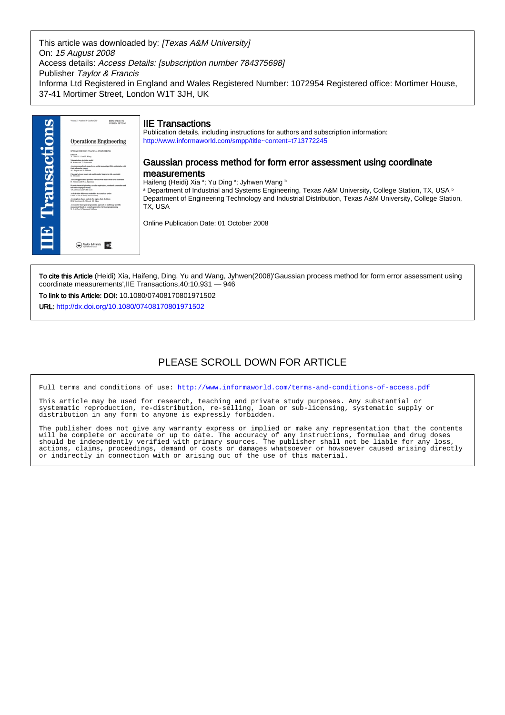This article was downloaded by: [Texas A&M University] On: 15 August 2008 Access details: Access Details: [subscription number 784375698] Publisher Taylor & Francis Informa Ltd Registered in England and Wales Registered Number: 1072954 Registered office: Mortimer House, 37-41 Mortimer Street, London W1T 3JH, UK



To cite this Article (Heidi) Xia, Haifeng, Ding, Yu and Wang, Jyhwen(2008)'Gaussian process method for form error assessment using coordinate measurements',IIE Transactions,40:10,931 — 946

To link to this Article: DOI: 10.1080/07408170801971502 URL: <http://dx.doi.org/10.1080/07408170801971502>

# PLEASE SCROLL DOWN FOR ARTICLE

Full terms and conditions of use:<http://www.informaworld.com/terms-and-conditions-of-access.pdf>

This article may be used for research, teaching and private study purposes. Any substantial or systematic reproduction, re-distribution, re-selling, loan or sub-licensing, systematic supply or distribution in any form to anyone is expressly forbidden.

The publisher does not give any warranty express or implied or make any representation that the contents will be complete or accurate or up to date. The accuracy of any instructions, formulae and drug doses should be independently verified with primary sources. The publisher shall not be liable for any loss, actions, claims, proceedings, demand or costs or damages whatsoever or howsoever caused arising directly or indirectly in connection with or arising out of the use of this material.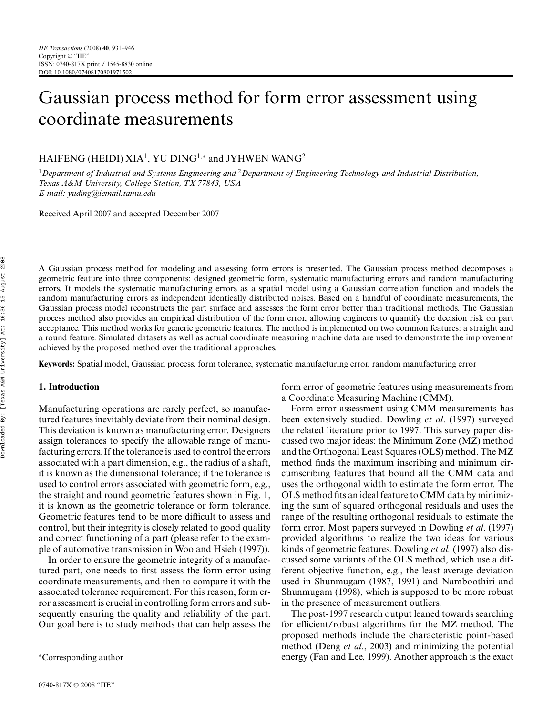# Gaussian process method for form error assessment using coordinate measurements

HAIFENG (HEIDI) XIA<sup>1</sup>, YU DING<sup>1,∗</sup> and JYHWEN WANG<sup>2</sup>

<sup>1</sup>*Department of Industrial and Systems Engineering and* <sup>2</sup>*Department of Engineering Technology and Industrial Distribution, Texas A&M University, College Station, TX 77843, USA E-mail: yuding@iemail.tamu.edu*

Received April 2007 and accepted December 2007

A Gaussian process method for modeling and assessing form errors is presented. The Gaussian process method decomposes a geometric feature into three components: designed geometric form, systematic manufacturing errors and random manufacturing errors. It models the systematic manufacturing errors as a spatial model using a Gaussian correlation function and models the random manufacturing errors as independent identically distributed noises. Based on a handful of coordinate measurements, the Gaussian process model reconstructs the part surface and assesses the form error better than traditional methods. The Gaussian process method also provides an empirical distribution of the form error, allowing engineers to quantify the decision risk on part acceptance. This method works for generic geometric features. The method is implemented on two common features: a straight and a round feature. Simulated datasets as well as actual coordinate measuring machine data are used to demonstrate the improvement achieved by the proposed method over the traditional approaches.

**Keywords:** Spatial model, Gaussian process, form tolerance, systematic manufacturing error, random manufacturing error

# **1. Introduction**

Manufacturing operations are rarely perfect, so manufactured features inevitably deviate from their nominal design. This deviation is known as manufacturing error. Designers assign tolerances to specify the allowable range of manufacturing errors. If the tolerance is used to control the errors associated with a part dimension, e.g., the radius of a shaft, it is known as the dimensional tolerance; if the tolerance is used to control errors associated with geometric form, e.g., the straight and round geometric features shown in Fig. 1, it is known as the geometric tolerance or form tolerance. Geometric features tend to be more difficult to assess and control, but their integrity is closely related to good quality and correct functioning of a part (please refer to the example of automotive transmission in Woo and Hsieh (1997)).

In order to ensure the geometric integrity of a manufactured part, one needs to first assess the form error using coordinate measurements, and then to compare it with the associated tolerance requirement. For this reason, form error assessment is crucial in controlling form errors and subsequently ensuring the quality and reliability of the part. Our goal here is to study methods that can help assess the form error of geometric features using measurements from a Coordinate Measuring Machine (CMM).

Form error assessment using CMM measurements has been extensively studied. Dowling *et al*. (1997) surveyed the related literature prior to 1997. This survey paper discussed two major ideas: the Minimum Zone (MZ) method and the Orthogonal Least Squares (OLS) method. The MZ method finds the maximum inscribing and minimum circumscribing features that bound all the CMM data and uses the orthogonal width to estimate the form error. The OLS method fits an ideal feature to CMM data by minimizing the sum of squared orthogonal residuals and uses the range of the resulting orthogonal residuals to estimate the form error. Most papers surveyed in Dowling *et al*. (1997) provided algorithms to realize the two ideas for various kinds of geometric features. Dowling *et al.* (1997) also discussed some variants of the OLS method, which use a different objective function, e.g., the least average deviation used in Shunmugam (1987, 1991) and Namboothiri and Shunmugam (1998), which is supposed to be more robust in the presence of measurement outliers.

The post-1997 research output leaned towards searching for efficient/robust algorithms for the MZ method. The proposed methods include the characteristic point-based method (Deng *et al*., 2003) and minimizing the potential energy (Fan and Lee, 1999). Another approach is the exact

<sup>∗</sup>Corresponding author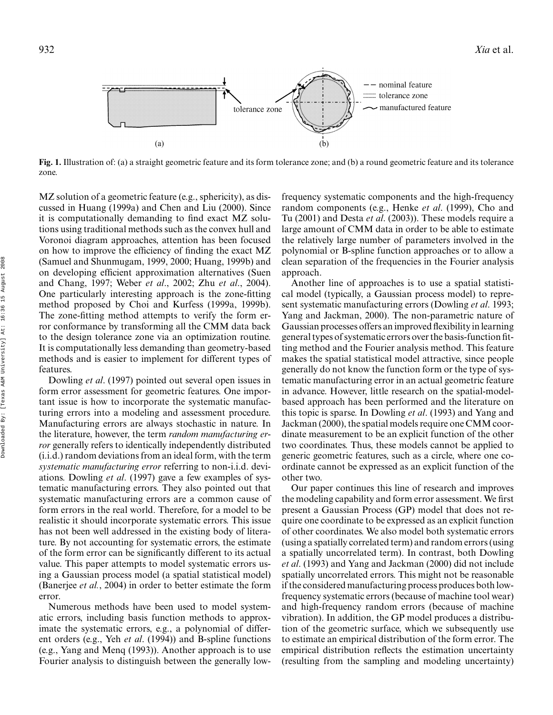

**Fig. 1.** Illustration of: (a) a straight geometric feature and its form tolerance zone; and (b) a round geometric feature and its tolerance zone.

MZ solution of a geometric feature (e.g., sphericity), as discussed in Huang (1999a) and Chen and Liu (2000). Since it is computationally demanding to find exact MZ solutions using traditional methods such as the convex hull and Voronoi diagram approaches, attention has been focused on how to improve the efficiency of finding the exact MZ (Samuel and Shunmugam, 1999, 2000; Huang, 1999b) and on developing efficient approximation alternatives (Suen and Chang, 1997; Weber *et al*., 2002; Zhu *et al*., 2004). One particularly interesting approach is the zone-fitting method proposed by Choi and Kurfess (1999a, 1999b). The zone-fitting method attempts to verify the form error conformance by transforming all the CMM data back to the design tolerance zone via an optimization routine. It is computationally less demanding than geometry-based methods and is easier to implement for different types of features.

Dowling *et al*. (1997) pointed out several open issues in form error assessment for geometric features. One important issue is how to incorporate the systematic manufacturing errors into a modeling and assessment procedure. Manufacturing errors are always stochastic in nature. In the literature, however, the term *random manufacturing error* generally refers to identically independently distributed (i.i.d.) random deviations from an ideal form, with the term *systematic manufacturing error* referring to non-i.i.d. deviations. Dowling *et al*. (1997) gave a few examples of systematic manufacturing errors. They also pointed out that systematic manufacturing errors are a common cause of form errors in the real world. Therefore, for a model to be realistic it should incorporate systematic errors. This issue has not been well addressed in the existing body of literature. By not accounting for systematic errors, the estimate of the form error can be significantly different to its actual value. This paper attempts to model systematic errors using a Gaussian process model (a spatial statistical model) (Banerjee *et al.*, 2004) in order to better estimate the form error.

Numerous methods have been used to model systematic errors, including basis function methods to approximate the systematic errors, e.g., a polynomial of different orders (e.g., Yeh *et al*. (1994)) and B-spline functions (e.g., Yang and Menq (1993)). Another approach is to use Fourier analysis to distinguish between the generally lowfrequency systematic components and the high-frequency random components (e.g., Henke *et al*. (1999), Cho and Tu (2001) and Desta *et al*. (2003)). These models require a large amount of CMM data in order to be able to estimate the relatively large number of parameters involved in the polynomial or B-spline function approaches or to allow a clean separation of the frequencies in the Fourier analysis approach.

Another line of approaches is to use a spatial statistical model (typically, a Gaussian process model) to represent systematic manufacturing errors (Dowling *et al*. 1993; Yang and Jackman, 2000). The non-parametric nature of Gaussian processes offers an improved flexibility in learning general types of systematic errors over the basis-function fitting method and the Fourier analysis method. This feature makes the spatial statistical model attractive, since people generally do not know the function form or the type of systematic manufacturing error in an actual geometric feature in advance. However, little research on the spatial-modelbased approach has been performed and the literature on this topic is sparse. In Dowling *et al*. (1993) and Yang and Jackman (2000), the spatial models require one CMM coordinate measurement to be an explicit function of the other two coordinates. Thus, these models cannot be applied to generic geometric features, such as a circle, where one coordinate cannot be expressed as an explicit function of the other two.

Our paper continues this line of research and improves the modeling capability and form error assessment. We first present a Gaussian Process (GP) model that does not require one coordinate to be expressed as an explicit function of other coordinates. We also model both systematic errors (using a spatially correlated term) and random errors (using a spatially uncorrelated term). In contrast, both Dowling *et al*. (1993) and Yang and Jackman (2000) did not include spatially uncorrelated errors. This might not be reasonable if the considered manufacturing process produces both lowfrequency systematic errors (because of machine tool wear) and high-frequency random errors (because of machine vibration). In addition, the GP model produces a distribution of the geometric surface, which we subsequently use to estimate an empirical distribution of the form error. The empirical distribution reflects the estimation uncertainty (resulting from the sampling and modeling uncertainty)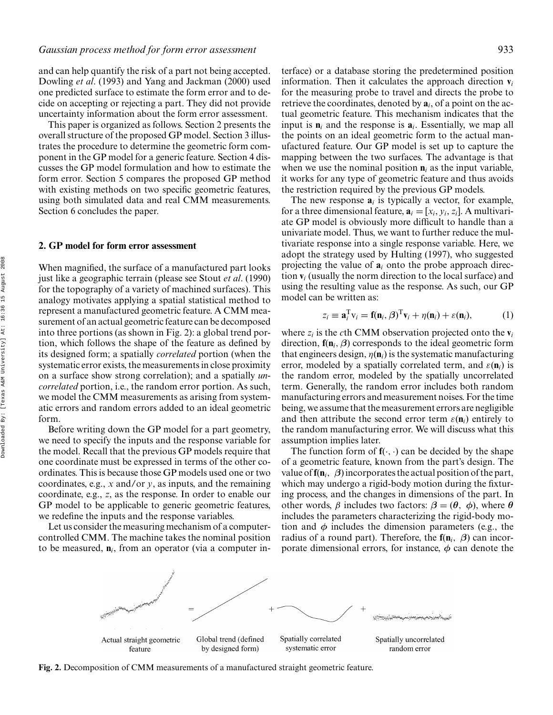and can help quantify the risk of a part not being accepted. Dowling *et al*. (1993) and Yang and Jackman (2000) used one predicted surface to estimate the form error and to decide on accepting or rejecting a part. They did not provide uncertainty information about the form error assessment.

This paper is organized as follows. Section 2 presents the overall structure of the proposed GP model. Section 3 illustrates the procedure to determine the geometric form component in the GP model for a generic feature. Section 4 discusses the GP model formulation and how to estimate the form error. Section 5 compares the proposed GP method with existing methods on two specific geometric features, using both simulated data and real CMM measurements. Section 6 concludes the paper.

#### **2. GP model for form error assessment**

When magnified, the surface of a manufactured part looks just like a geographic terrain (please see Stout *et al*. (1990) for the topography of a variety of machined surfaces). This analogy motivates applying a spatial statistical method to represent a manufactured geometric feature. A CMM measurement of an actual geometric feature can be decomposed into three portions (as shown in Fig. 2): a global trend portion, which follows the shape of the feature as defined by its designed form; a spatially *correlated* portion (when the systematic error exists, the measurements in close proximity on a surface show strong correlation); and a spatially *uncorrelated* portion, i.e., the random error portion. As such, we model the CMM measurements as arising from systematic errors and random errors added to an ideal geometric form.

Before writing down the GP model for a part geometry, we need to specify the inputs and the response variable for the model. Recall that the previous GP models require that one coordinate must be expressed in terms of the other coordinates. This is because those GP models used one or two coordinates, e.g., *x* and/or *y*, as inputs, and the remaining coordinate, e.g., *z*, as the response. In order to enable our GP model to be applicable to generic geometric features, we redefine the inputs and the response variables.

Let us consider the measuring mechanism of a computercontrolled CMM. The machine takes the nominal position to be measured, **n***i*, from an operator (via a computer in-

terface) or a database storing the predetermined position information. Then it calculates the approach direction  $\mathbf{v}_i$ for the measuring probe to travel and directs the probe to retrieve the coordinates, denoted by  $a_i$ , of a point on the actual geometric feature. This mechanism indicates that the input is  $\mathbf{n}_i$  and the response is  $\mathbf{a}_i$ . Essentially, we map all the points on an ideal geometric form to the actual manufactured feature. Our GP model is set up to capture the mapping between the two surfaces. The advantage is that when we use the nominal position  $\mathbf{n}_i$  as the input variable, it works for any type of geometric feature and thus avoids the restriction required by the previous GP models.

The new response  $a_i$  is typically a vector, for example, for a three dimensional feature,  $\mathbf{a}_i = [x_i, y_i, z_i]$ . A multivariate GP model is obviously more difficult to handle than a univariate model. Thus, we want to further reduce the multivariate response into a single response variable. Here, we adopt the strategy used by Hulting (1997), who suggested projecting the value of  $a_i$  onto the probe approach direction **v***<sup>i</sup>* (usually the norm direction to the local surface) and using the resulting value as the response. As such, our GP model can be written as:

$$
z_i \equiv \mathbf{a}_i^{\mathrm{T}} \mathbf{v}_i = \mathbf{f}(\mathbf{n}_i, \beta)^{\mathrm{T}} \mathbf{v}_i + \eta(\mathbf{n}_i) + \varepsilon(\mathbf{n}_i), \tag{1}
$$

where  $z_i$  is the cth CMM observation projected onto the  $\mathbf{v}_i$ direction,  $f(n_i, \beta)$  corresponds to the ideal geometric form that engineers design,  $\eta(\mathbf{n}_i)$  is the systematic manufacturing error, modeled by a spatially correlated term, and  $\varepsilon(\mathbf{n}_i)$  is the random error, modeled by the spatially uncorrelated term. Generally, the random error includes both random manufacturing errors and measurement noises. For the time being, we assume that the measurement errors are negligible and then attribute the second error term  $\varepsilon(\mathbf{n}_i)$  entirely to the random manufacturing error. We will discuss what this assumption implies later.

The function form of  $f(\cdot, \cdot)$  can be decided by the shape of a geometric feature, known from the part's design. The value of  $f(n_i, \beta)$  incorporates the actual position of the part, which may undergo a rigid-body motion during the fixturing process, and the changes in dimensions of the part. In other words, *β* includes two factors:  $β = (θ, φ)$ , where *θ* includes the parameters characterizing the rigid-body motion and  $\phi$  includes the dimension parameters (e.g., the radius of a round part). Therefore, the  $f(n_i, \beta)$  can incorporate dimensional errors, for instance, *φ* can denote the



Downloaded By: [Texas A&M University] At: 16:36 15 August 2008 Downloaded By: [Texas A&M University] At: 16:36 15 August 2008

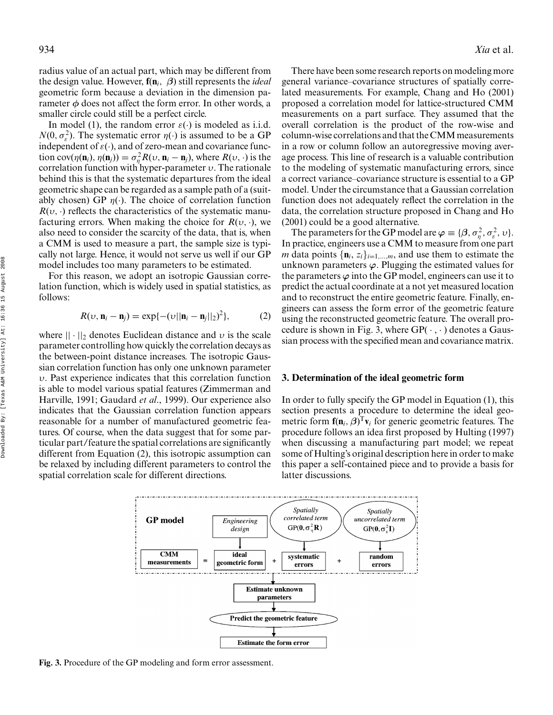radius value of an actual part, which may be different from the design value. However, **f**(**n***i*, *β*) still represents the *ideal* geometric form because a deviation in the dimension parameter  $\phi$  does not affect the form error. In other words, a smaller circle could still be a perfect circle.

In model (1), the random error  $\varepsilon(\cdot)$  is modeled as i.i.d.  $N(0, \sigma_{\varepsilon}^2)$ . The systematic error  $\eta(\cdot)$  is assumed to be a GP independent of  $\varepsilon(\cdot)$ , and of zero-mean and covariance function cov( $\eta(\mathbf{n}_i)$ ,  $\eta(\mathbf{n}_j)$ ) =  $\sigma_\eta^2 R(\nu, \mathbf{n}_i - \mathbf{n}_j)$ , where  $R(\nu, \cdot)$  is the correlation function with hyper-parameter  $v$ . The rationale behind this is that the systematic departures from the ideal geometric shape can be regarded as a sample path of a (suitably chosen) GP  $\eta(\cdot)$ . The choice of correlation function  $R(v, \cdot)$  reflects the characteristics of the systematic manufacturing errors. When making the choice for  $R(v, \cdot)$ , we also need to consider the scarcity of the data, that is, when a CMM is used to measure a part, the sample size is typically not large. Hence, it would not serve us well if our GP model includes too many parameters to be estimated.

For this reason, we adopt an isotropic Gaussian correlation function, which is widely used in spatial statistics, as follows:

$$
R(\nu, \mathbf{n}_i - \mathbf{n}_j) = \exp\{-(\nu||\mathbf{n}_i - \mathbf{n}_j||_2)^2\},\tag{2}
$$

where  $|| \cdot ||_2$  denotes Euclidean distance and  $\nu$  is the scale parameter controlling how quickly the correlation decays as the between-point distance increases. The isotropic Gaussian correlation function has only one unknown parameter υ. Past experience indicates that this correlation function is able to model various spatial features (Zimmerman and Harville, 1991; Gaudard *et al*., 1999). Our experience also indicates that the Gaussian correlation function appears reasonable for a number of manufactured geometric features. Of course, when the data suggest that for some particular part/feature the spatial correlations are significantly different from Equation (2), this isotropic assumption can be relaxed by including different parameters to control the spatial correlation scale for different directions.

There have been some research reports on modeling more general variance–covariance structures of spatially correlated measurements. For example, Chang and Ho (2001) proposed a correlation model for lattice-structured CMM measurements on a part surface. They assumed that the overall correlation is the product of the row-wise and column-wise correlations and that the CMM measurements in a row or column follow an autoregressive moving average process. This line of research is a valuable contribution to the modeling of systematic manufacturing errors, since a correct variance–covariance structure is essential to a GP model. Under the circumstance that a Gaussian correlation function does not adequately reflect the correlation in the data, the correlation structure proposed in Chang and Ho (2001) could be a good alternative.

The parameters for the GP model are  $\varphi \equiv \{\beta, \sigma_n^2, \sigma_\varepsilon^2, \nu\}.$ In practice, engineers use a CMM to measure from one part *m* data points  $\{\mathbf{n}_i, z_i\}_{i=1,\dots,m}$ , and use them to estimate the unknown parameters *ϕ*. Plugging the estimated values for the parameters *ϕ* into the GP model, engineers can use it to predict the actual coordinate at a not yet measured location and to reconstruct the entire geometric feature. Finally, engineers can assess the form error of the geometric feature using the reconstructed geometric feature. The overall procedure is shown in Fig. 3, where  $GP(\cdot, \cdot)$  denotes a Gaussian process with the specified mean and covariance matrix.

#### **3. Determination of the ideal geometric form**

In order to fully specify the GP model in Equation (1), this section presents a procedure to determine the ideal geometric form **f**(**n***i*, *β*) <sup>T</sup>**v***<sup>i</sup>* for generic geometric features. The procedure follows an idea first proposed by Hulting (1997) when discussing a manufacturing part model; we repeat some of Hulting's original description here in order to make this paper a self-contained piece and to provide a basis for latter discussions.



**Fig. 3.** Procedure of the GP modeling and form error assessment.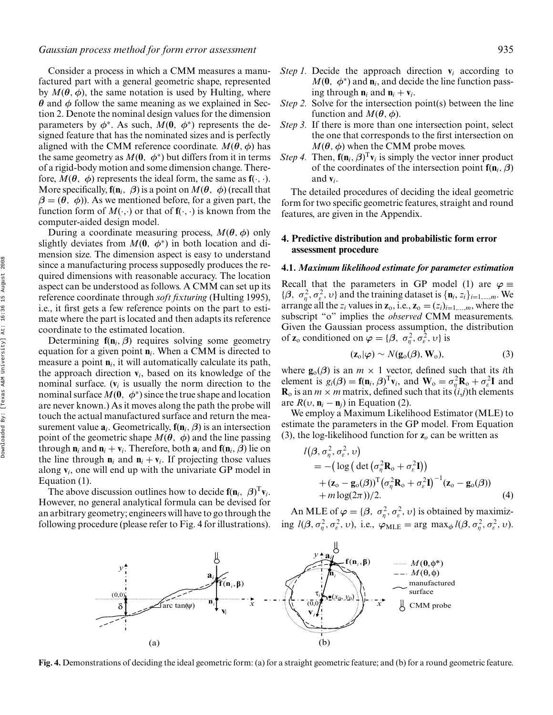Consider a process in which a CMM measures a manufactured part with a general geometric shape, represented by  $M(θ, φ)$ , the same notation is used by Hulting, where *θ* and *φ* follow the same meaning as we explained in Section 2. Denote the nominal design values for the dimension parameters by  $\phi^*$ . As such,  $M(\mathbf{0}, \phi^*)$  represents the designed feature that has the nominated sizes and is perfectly aligned with the CMM reference coordinate.  $M(\theta, \phi)$  has the same geometry as  $M(0, \phi^*)$  but differs from it in terms of a rigid-body motion and some dimension change. Therefore,  $M(\theta, \phi)$  represents the ideal form, the same as  $f(\cdot, \cdot)$ . More specifically,  $f(n_i, \beta)$  is a point on  $M(\theta, \phi)$  (recall that  $\beta = (\theta, \phi)$ . As we mentioned before, for a given part, the function form of  $M(\cdot, \cdot)$  or that of  $f(\cdot, \cdot)$  is known from the computer-aided design model.

During a coordinate measuring process,  $M(\theta, \phi)$  only slightly deviates from  $M(0, \phi^*)$  in both location and dimension size. The dimension aspect is easy to understand since a manufacturing process supposedly produces the required dimensions with reasonable accuracy. The location aspect can be understood as follows. A CMM can set up its reference coordinate through *soft fixturing* (Hulting 1995), i.e., it first gets a few reference points on the part to estimate where the part is located and then adapts its reference coordinate to the estimated location.

Determining **f**(**n***i*, *β*) requires solving some geometry equation for a given point **n***i*. When a CMM is directed to measure a point **n***i*, it will automatically calculate its path, the approach direction  $v_i$ , based on its knowledge of the nominal surface.  $(v_i$  is usually the norm direction to the nominal surface  $M(0, \phi^*)$  since the true shape and location are never known.) As it moves along the path the probe will touch the actual manufactured surface and return the measurement value  $\mathbf{a}_i$ . Geometrically,  $\mathbf{f}(\mathbf{n}_i, \boldsymbol{\beta})$  is an intersection point of the geometric shape  $M(\theta, \phi)$  and the line passing through **n**<sub>*i*</sub> and **n**<sub>*i*</sub> + **v**<sub>*i*</sub>. Therefore, both **a**<sub>*i*</sub> and **f**(**n**<sub>*i*</sub>,  $\beta$ ) lie on the line through  $\mathbf{n}_i$  and  $\mathbf{n}_i + \mathbf{v}_i$ . If projecting those values along  $v_i$ , one will end up with the univariate GP model in Equation (1).

The above discussion outlines how to decide  $f(n_i, \beta)^T v_i$ . However, no general analytical formula can be devised for an arbitrary geometry; engineers will have to go through the following procedure (please refer to Fig. 4 for illustrations).

- *Step 1.* Decide the approach direction  $v_i$  according to  $M(\mathbf{0}, \phi^*)$  and  $\mathbf{n}_i$ , and decide the line function passing through  $\mathbf{n}_i$  and  $\mathbf{n}_i + \mathbf{v}_i$ .
- *Step 2.* Solve for the intersection point(s) between the line function and  $M(\theta, \phi)$ .
- *Step 3.* If there is more than one intersection point, select the one that corresponds to the first intersection on  $M(\theta, \phi)$  when the CMM probe moves.
- *Step 4.* Then,  $f(n_i, \beta)^T v_i$  is simply the vector inner product of the coordinates of the intersection point  $f(n_i, \beta)$ and  $\mathbf{v}_i$ .

The detailed procedures of deciding the ideal geometric form for two specific geometric features, straight and round features, are given in the Appendix.

## **4. Predictive distribution and probabilistic form error assessment procedure**

# **4.1.** *Maximum likelihood estimate for parameter estimation*

Recall that the parameters in GP model (1) are  $\varphi \equiv$ { $\beta$ ,  $\sigma_{\eta}^2$ ,  $\sigma_{\varepsilon}^2$ ,  $\upsilon$ } and the training dataset is { $\mathbf{n}_i$ ,  $z_i$ } $_{i=1,...,m}$ . We arrange all the  $z_i$  values in  $\mathbf{z}_0$ , i.e.,  $\mathbf{z}_0 = (z_i)_{i=1,\dots,m}$ , where the subscript "o" implies the *observed* CMM measurements. Given the Gaussian process assumption, the distribution of  $\mathbf{z}_0$  conditioned on  $\varphi = {\theta, \sigma_{\eta}^2, \sigma_{\varepsilon}^2, \upsilon}$  is

$$
(\mathbf{Z}_0|\boldsymbol{\varphi}) \sim N(\mathbf{g}_0(\boldsymbol{\beta}), \mathbf{W}_0), \tag{3}
$$

where  $\mathbf{g}_{0}(\beta)$  is an  $m \times 1$  vector, defined such that its *i*th element is  $g_i(\beta) = \mathbf{f}(\mathbf{n}_i, \beta)^T \mathbf{v}_i$ , and  $\mathbf{W}_o = \sigma_\eta^2 \mathbf{R}_o + \sigma_\varepsilon^2 \mathbf{I}$  and  $\mathbf{R}_0$  is an *m* × *m* matrix, defined such that its  $(i,j)$ th elements are  $R(v, \mathbf{n}_i - \mathbf{n}_i)$  in Equation (2).

We employ a Maximum Likelihood Estimator (MLE) to estimate the parameters in the GP model. From Equation (3), the log-likelihood function for **z***<sup>o</sup>* can be written as

$$
l(\boldsymbol{\beta}, \sigma_n^2, \sigma_\varepsilon^2, \upsilon)
$$
  
= -(\log (\det (\sigma\_n^2 \mathbf{R}\_0 + \sigma\_\varepsilon^2 \mathbf{I}))  
 + (\mathbf{z}\_0 - \mathbf{g}\_0(\boldsymbol{\beta}))^T (\sigma\_n^2 \mathbf{R}\_0 + \sigma\_\varepsilon^2 \mathbf{I})^{-1} (\mathbf{z}\_0 - \mathbf{g}\_0(\boldsymbol{\beta}))  
+ m \log(2\pi))/2. (4)

An MLE of  $\varphi = {\beta, \sigma_n^2, \sigma_\varepsilon^2, \nu}$  is obtained by maximizing  $l(\beta, \sigma_{\eta}^2, \sigma_{\varepsilon}^2, \nu)$ , i.e.,  $\varphi_{MLE} = \arg \max_{\phi} l(\beta, \sigma_{\eta}^2, \sigma_{\varepsilon}^2, \nu)$ .



**Fig. 4.** Demonstrations of deciding the ideal geometric form: (a) for a straight geometric feature; and (b) for a round geometric feature.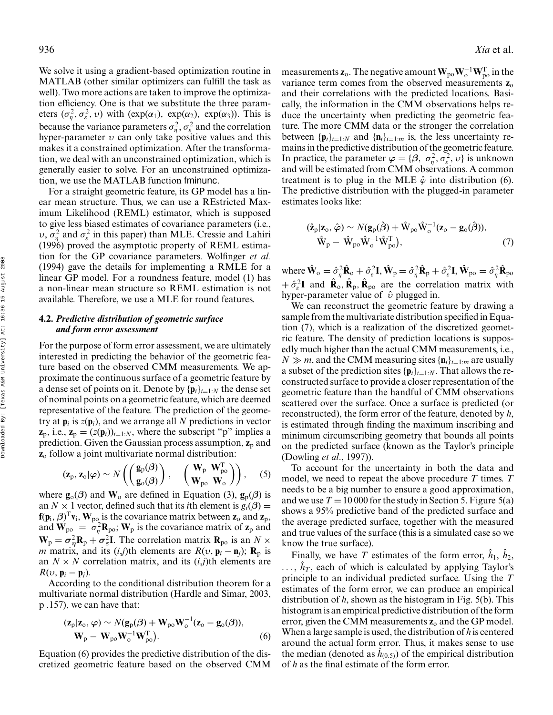We solve it using a gradient-based optimization routine in MATLAB (other similar optimizers can fulfill the task as well). Two more actions are taken to improve the optimization efficiency. One is that we substitute the three parameters  $(\sigma_{\eta}^2, \sigma_{\varepsilon}^2, \nu)$  with  $(\exp(\alpha_1), \exp(\alpha_2), \exp(\alpha_3))$ . This is because the variance parameters  $\sigma_{\eta}^2$ ,  $\sigma_{\varepsilon}^2$  and the correlation hyper-parameter  $\nu$  can only take positive values and this makes it a constrained optimization. After the transformation, we deal with an unconstrained optimization, which is generally easier to solve. For an unconstrained optimization, we use the MATLAB function fminunc.

For a straight geometric feature, its GP model has a linear mean structure. Thus, we can use a REstricted Maximum Likelihood (REML) estimator, which is supposed to give less biased estimates of covariance parameters (i.e.,  $v, \sigma_{\eta}^2$  and  $\sigma_{\varepsilon}^2$  in this paper) than MLE. Cressie and Lahiri (1996) proved the asymptotic property of REML estimation for the GP covariance parameters. Wolfinger *et al.* (1994) gave the details for implementing a RMLE for a linear GP model. For a roundness feature, model (1) has a non-linear mean structure so REML estimation is not available. Therefore, we use a MLE for round features.

# **4.2.** *Predictive distribution of geometric surface and form error assessment*

For the purpose of form error assessment, we are ultimately interested in predicting the behavior of the geometric feature based on the observed CMM measurements. We approximate the continuous surface of a geometric feature by a dense set of points on it. Denote by  ${\bf p}_i\}_{i=1:N}$  the dense set of nominal points on a geometric feature, which are deemed representative of the feature. The prediction of the geometry at  $\mathbf{p}_i$  is  $z(\mathbf{p}_i)$ , and we arrange all N predictions in vector  $\mathbf{z}_p$ , i.e.,  $\mathbf{z}_p = (z(\mathbf{p}_i))_{i=1:N}$ , where the subscript "p" implies a prediction. Given the Gaussian process assumption, **z**<sup>p</sup> and **z**<sup>o</sup> follow a joint multivariate normal distribution:

$$
(\mathbf{z}_{p}, \mathbf{z}_{o} | \varphi) \sim N\left(\begin{pmatrix} \mathbf{g}_{p}(\boldsymbol{\beta}) \\ \mathbf{g}_{o}(\boldsymbol{\beta}) \end{pmatrix}, \quad \begin{pmatrix} \mathbf{W}_{p} & \mathbf{W}_{po}^{T} \\ \mathbf{W}_{po} & \mathbf{W}_{o} \end{pmatrix}\right), \quad (5)
$$

where  $\mathbf{g}_{\text{o}}(\boldsymbol{\beta})$  and  $\mathbf{W}_{\text{o}}$  are defined in Equation (3),  $\mathbf{g}_{\text{p}}(\boldsymbol{\beta})$  is an *N* × 1 vector, defined such that its *i*th element is  $g_i(\beta)$  =  $f(\mathbf{p}_i, \beta)^T \mathbf{v}_i$ ,  $\mathbf{W}_{\text{po}}$  is the covariance matrix between  $\mathbf{z}_0$  and  $\mathbf{z}_p$ , and  $W_{\text{po}} = \sigma_{\eta}^2 \mathbf{R}_{\text{po}}$ ;  $W_{\text{p}}$  is the covariance matrix of  $\mathbf{z}_{\text{p}}$  and  $W_p = \sigma_p^2 R_p + \sigma_{\varepsilon}^2 I$ . The correlation matrix  $R_{po}$  is an  $N \times$ *m* matrix, and its  $(i, j)$ th elements are  $R(v, \mathbf{p}_i - \mathbf{n}_j)$ ;  $\mathbf{R}_p$  is an  $N \times N$  correlation matrix, and its  $(i,j)$ th elements are  $R(v, \mathbf{p}_i - \mathbf{p}_j).$ 

According to the conditional distribution theorem for a multivariate normal distribution (Hardle and Simar, 2003, p .157), we can have that:

$$
(\mathbf{z}_{\mathrm{p}}|\mathbf{z}_{\mathrm{o}},\varphi) \sim N(\mathbf{g}_{\mathrm{p}}(\boldsymbol{\beta}) + \mathbf{W}_{\mathrm{po}} \mathbf{W}_{\mathrm{o}}^{-1}(\mathbf{z}_{\mathrm{o}} - \mathbf{g}_{\mathrm{o}}(\boldsymbol{\beta})),
$$
  

$$
\mathbf{W}_{\mathrm{p}} - \mathbf{W}_{\mathrm{po}} \mathbf{W}_{\mathrm{o}}^{-1} \mathbf{W}_{\mathrm{po}}^{\mathrm{T}}). \tag{6}
$$

Equation (6) provides the predictive distribution of the discretized geometric feature based on the observed CMM

measurements  $\mathbf{z}_o$ . The negative amount  $\mathbf{W}_{po}\mathbf{W}_{o}^{-1}\mathbf{W}_{po}^{\text{T}}$  in the variance term comes from the observed measurements **z**<sup>o</sup> and their correlations with the predicted locations. Basically, the information in the CMM observations helps reduce the uncertainty when predicting the geometric feature. The more CMM data or the stronger the correlation between  ${\bf p}_i$ <sub>*i*=1:*N*</sub> and  ${\bf n}_i$ <sub>*i*=1:*m*</sub> is, the less uncertainty remains in the predictive distribution of the geometric feature. In practice, the parameter  $\varphi = {\beta, \sigma_n^2, \sigma_s^2, \nu}$  is unknown and will be estimated from CMM observations. A common treatment is to plug in the MLE  $\hat{\varphi}$  into distribution (6). The predictive distribution with the plugged-in parameter estimates looks like:

$$
(\hat{\mathbf{z}}_{\mathrm{p}}|\mathbf{z}_{\mathrm{o}},\hat{\boldsymbol{\varphi}}) \sim N(\mathbf{g}_{\mathrm{p}}(\hat{\boldsymbol{\beta}}) + \hat{\mathbf{W}}_{\mathrm{po}}\hat{\mathbf{W}}_{\mathrm{o}}^{-1}(\mathbf{z}_{\mathrm{o}} - \mathbf{g}_{\mathrm{o}}(\hat{\boldsymbol{\beta}})),
$$
  

$$
\hat{\mathbf{W}}_{\mathrm{p}} - \hat{\mathbf{W}}_{\mathrm{po}}\hat{\mathbf{W}}_{\mathrm{o}}^{-1}\hat{\mathbf{W}}_{\mathrm{po}}^{T}),
$$
 (7)

 $\hat{\mathbf{W}}_{\text{o}} = \hat{\sigma}_{\eta}^{2} \hat{\mathbf{R}}_{\text{o}} + \hat{\sigma}_{\varepsilon}^{2} \mathbf{I}, \hat{\mathbf{W}}_{\text{p}} = \hat{\sigma}_{\eta}^{2} \hat{\mathbf{R}}_{\text{p}} + \hat{\sigma}_{\varepsilon}^{2} \mathbf{I}, \hat{\mathbf{W}}_{\text{po}} = \hat{\sigma}_{\eta}^{2} \hat{\mathbf{R}}_{\text{po}}$  $+ \hat{\sigma}_{\varepsilon}^2 \mathbf{I}$  and  $\hat{\mathbf{R}}_0$ ,  $\hat{\mathbf{R}}_p$ ,  $\hat{\mathbf{R}}_{po}$  are the correlation matrix with hyper-parameter value of  $\hat{v}$  plugged in.

We can reconstruct the geometric feature by drawing a sample from the multivariate distribution specified in Equation (7), which is a realization of the discretized geometric feature. The density of prediction locations is supposedly much higher than the actual CMM measurements, i.e.,  $N \gg m$ , and the CMM measuring sites  $\{n_i\}_{i=1:m}$  are usually a subset of the prediction sites  $\{p_i\}_{i=1:N}$ . That allows the reconstructed surface to provide a closer representation of the geometric feature than the handful of CMM observations scattered over the surface. Once a surface is predicted (or reconstructed), the form error of the feature, denoted by *h*, is estimated through finding the maximum inscribing and minimum circumscribing geometry that bounds all points on the predicted surface (known as the Taylor's principle (Dowling *et al*., 1997)).

To account for the uncertainty in both the data and model, we need to repeat the above procedure *T* times. *T* needs to be a big number to ensure a good approximation, and we use  $T = 10000$  for the study in Section 5. Figure 5(a) shows a 95% predictive band of the predicted surface and the average predicted surface, together with the measured and true values of the surface (this is a simulated case so we know the true surface).

Finally, we have *T* estimates of the form error,  $\hat{h}_1$ ,  $\hat{h}_2$ ,  $\ldots$ ,  $h_T$ , each of which is calculated by applying Taylor's principle to an individual predicted surface. Using the *T* estimates of the form error, we can produce an empirical distribution of *h*, shown as the histogram in Fig. 5(b). This histogram is an empirical predictive distribution of the form error, given the CMM measurements  $z_0$  and the GP model. When a large sample is used, the distribution of *h* is centered around the actual form error. Thus, it makes sense to use the median (denoted as  $\hat{h}_{(0.5)}$ ) of the empirical distribution of *h* as the final estimate of the form error.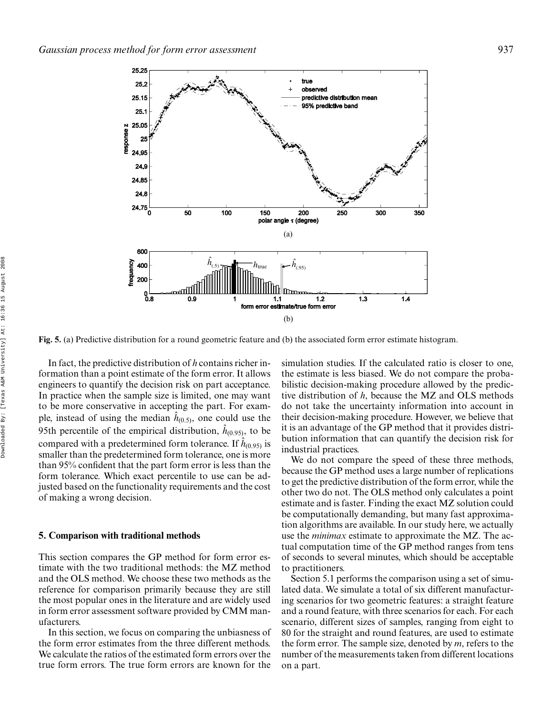

**Fig. 5.** (a) Predictive distribution for a round geometric feature and (b) the associated form error estimate histogram.

In fact, the predictive distribution of *h* contains richer information than a point estimate of the form error. It allows engineers to quantify the decision risk on part acceptance. In practice when the sample size is limited, one may want to be more conservative in accepting the part. For example, instead of using the median  $\hat{h}_{(0.5)}$ , one could use the 95th percentile of the empirical distribution,  $\hat{h}_{(0.95)}$ , to be compared with a predetermined form tolerance. If  $\hat{h}_{(0.95)}$  is smaller than the predetermined form tolerance, one is more than 95% confident that the part form error is less than the form tolerance. Which exact percentile to use can be adjusted based on the functionality requirements and the cost of making a wrong decision.

## **5. Comparison with traditional methods**

This section compares the GP method for form error estimate with the two traditional methods: the MZ method and the OLS method. We choose these two methods as the reference for comparison primarily because they are still the most popular ones in the literature and are widely used in form error assessment software provided by CMM manufacturers.

In this section, we focus on comparing the unbiasness of the form error estimates from the three different methods. We calculate the ratios of the estimated form errors over the true form errors. The true form errors are known for the

simulation studies. If the calculated ratio is closer to one, the estimate is less biased. We do not compare the probabilistic decision-making procedure allowed by the predictive distribution of *h*, because the MZ and OLS methods do not take the uncertainty information into account in their decision-making procedure. However, we believe that it is an advantage of the GP method that it provides distribution information that can quantify the decision risk for industrial practices.

We do not compare the speed of these three methods, because the GP method uses a large number of replications to get the predictive distribution of the form error, while the other two do not. The OLS method only calculates a point estimate and is faster. Finding the exact MZ solution could be computationally demanding, but many fast approximation algorithms are available. In our study here, we actually use the *minimax* estimate to approximate the MZ. The actual computation time of the GP method ranges from tens of seconds to several minutes, which should be acceptable to practitioners.

Section 5.1 performs the comparison using a set of simulated data. We simulate a total of six different manufacturing scenarios for two geometric features: a straight feature and a round feature, with three scenarios for each. For each scenario, different sizes of samples, ranging from eight to 80 for the straight and round features, are used to estimate the form error. The sample size, denoted by *m*, refers to the number of the measurements taken from different locations on a part.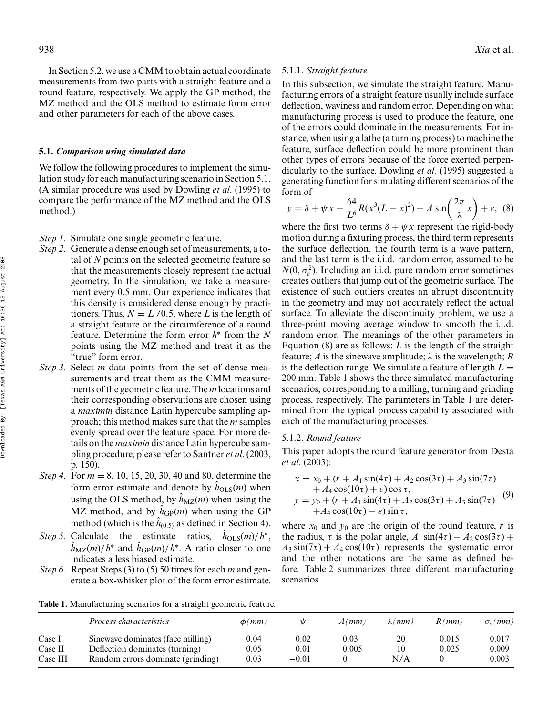In Section 5.2, we use a CMM to obtain actual coordinate measurements from two parts with a straight feature and a round feature, respectively. We apply the GP method, the MZ method and the OLS method to estimate form error and other parameters for each of the above cases.

#### **5.1.** *Comparison using simulated data*

We follow the following procedures to implement the simulation study for each manufacturing scenario in Section 5.1. (A similar procedure was used by Dowling *et al*. (1995) to compare the performance of the MZ method and the OLS method.)

- *Step 1.* Simulate one single geometric feature.
- *Step 2.* Generate a dense enough set of measurements, a total of *N* points on the selected geometric feature so that the measurements closely represent the actual geometry. In the simulation, we take a measurement every 0.5 mm. Our experience indicates that this density is considered dense enough by practitioners. Thus,  $N = L/0.5$ , where L is the length of a straight feature or the circumference of a round feature. Determine the form error *h*<sup>∗</sup> from the *N* points using the MZ method and treat it as the "true" form error.
- *Step 3.* Select *m* data points from the set of dense measurements and treat them as the CMM measurements of the geometric feature. The *m* locations and their corresponding observations are chosen using a *maximin* distance Latin hypercube sampling approach; this method makes sure that the *m* samples evenly spread over the feature space. For more details on the *maximin* distance Latin hypercube sampling procedure, please refer to Santner *et al*. (2003, p. 150).
- *Step 4.* For *m* = 8, 10, 15, 20, 30, 40 and 80, determine the form error estimate and denote by  $\hat{h}_{OLS}(m)$  when using the OLS method, by  $\hat{h}_{MZ}(m)$  when using the MZ method, and by  $\hat{h}_{GP}(m)$  when using the GP method (which is the  $\hat{h}_{(0.5)}$  as defined in Section 4).
- *Step 5.* Calculate the estimate ratios,  $\hat{h}_{OLS}(m)/h^*$ ,  $\hat{h}_{\text{MZ}}(m)/h^*$  and  $\hat{h}_{\text{GP}}(m)/h^*$ . A ratio closer to one indicates a less biased estimate.
- *Step 6.* Repeat Steps (3) to (5) 50 times for each *m* and generate a box-whisker plot of the form error estimate.

#### 5.1.1. *Straight feature*

In this subsection, we simulate the straight feature. Manufacturing errors of a straight feature usually include surface deflection, waviness and random error. Depending on what manufacturing process is used to produce the feature, one of the errors could dominate in the measurements. For instance, when using a lathe (a turning process) to machine the feature, surface deflection could be more prominent than other types of errors because of the force exerted perpendicularly to the surface. Dowling *et al.* (1995) suggested a generating function for simulating different scenarios of the form of

$$
y = \delta + \psi x - \frac{64}{L^6} R(x^3 (L - x)^2) + A \sin\left(\frac{2\pi}{\lambda} x\right) + \varepsilon, \tag{8}
$$

where the first two terms  $\delta + \psi x$  represent the rigid-body motion during a fixturing process, the third term represents the surface deflection, the fourth term is a wave pattern, and the last term is the i.i.d. random error, assumed to be  $N(0, \sigma_{\varepsilon}^2)$ . Including an i.i.d. pure random error sometimes creates outliers that jump out of the geometric surface. The existence of such outliers creates an abrupt discontinuity in the geometry and may not accurately reflect the actual surface. To alleviate the discontinuity problem, we use a three-point moving average window to smooth the i.i.d. random error. The meanings of the other parameters in Equation (8) are as follows: *L* is the length of the straight feature; *A* is the sinewave amplitude;  $\lambda$  is the wavelength; *R* is the deflection range. We simulate a feature of length  $L =$ 200 mm. Table 1 shows the three simulated manufacturing scenarios, corresponding to a milling, turning and grinding process, respectively. The parameters in Table 1 are determined from the typical process capability associated with each of the manufacturing processes.

#### 5.1.2. *Round feature*

This paper adopts the round feature generator from Desta *et al*. (2003):

$$
x = x_0 + (r + A_1 \sin(4\tau) + A_2 \cos(3\tau) + A_3 \sin(7\tau) + A_4 \cos(10\tau) + \varepsilon) \cos \tau, y = y_0 + (r + A_1 \sin(4\tau) + A_2 \cos(3\tau) + A_3 \sin(7\tau) + A_4 \cos(10\tau) + \varepsilon) \sin \tau,
$$
 (9)

where  $x_0$  and  $y_0$  are the origin of the round feature, *r* is the radius,  $\tau$  is the polar angle,  $A_1 \sin(4\tau) - A_2 \cos(3\tau) +$  $A_3 \sin(7\tau) + A_4 \cos(10\tau)$  represents the systematic error and the other notations are the same as defined before. Table 2 summarizes three different manufacturing scenarios.

|                   | <i>Process characteristics</i>                                      | $\phi$ (mm)  | U            | A(mm)         | $\lambda$ (mm) | R(mm)          | $\sigma_{\rm s}(mm)$ |  |
|-------------------|---------------------------------------------------------------------|--------------|--------------|---------------|----------------|----------------|----------------------|--|
| Case I<br>Case II | Sinewave dominates (face milling)<br>Deflection dominates (turning) | 0.04<br>0.05 | 0.02<br>0.01 | 0.03<br>0.005 | 20<br>10       | 0.015<br>0.025 | 0.017<br>0.009       |  |
| Case III          | Random errors dominate (grinding)                                   | 0.03         | $-0.01$      |               | N/A            |                | 0.003                |  |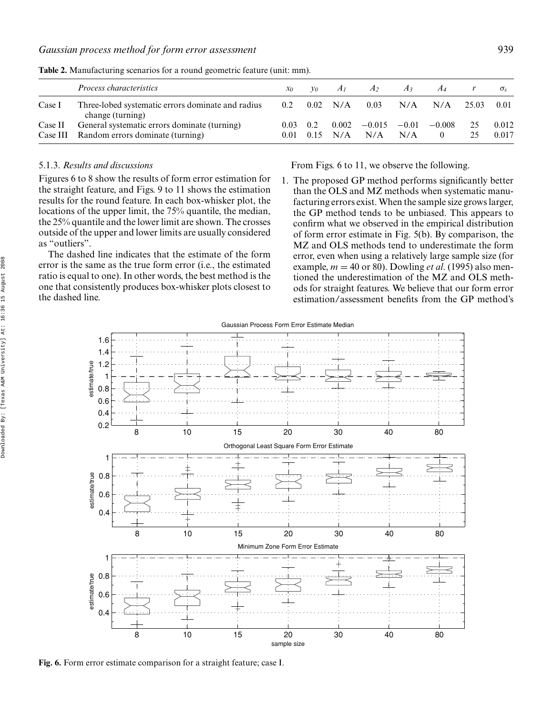|         | <i>Process characteristics</i>                                                            | $\chi_0$         | $v_0$ | $A_1$               | A <sub>2</sub>          | $A_3$ | $A_{\Lambda}$        |          | $\sigma_{\rm c}$ |
|---------|-------------------------------------------------------------------------------------------|------------------|-------|---------------------|-------------------------|-------|----------------------|----------|------------------|
| Case I  | Three-lobed systematic errors dominate and radius<br>change (turning)                     |                  |       | $0.2$ $0.02$ N/A    | 0.03                    | N/A   | $N/A$ 25.03          |          | 0.01             |
| Case II | General systematic errors dominate (turning)<br>Case III Random errors dominate (turning) | $0.03 -$<br>0.01 | 0.2   | 0.002<br>$0.15$ N/A | $-0.015$ $-0.01$<br>N/A | N/A   | $-0.008$<br>$\Omega$ | 25<br>25 | 0.012<br>0.017   |

**Table 2.** Manufacturing scenarios for a round geometric feature (unit: mm).

# 5.1.3. *Results and discussions*

Figures 6 to 8 show the results of form error estimation for the straight feature, and Figs. 9 to 11 shows the estimation results for the round feature. In each box-whisker plot, the locations of the upper limit, the 75% quantile, the median, the 25% quantile and the lower limit are shown. The crosses outside of the upper and lower limits are usually considered as "outliers".

The dashed line indicates that the estimate of the form error is the same as the true form error (i.e., the estimated ratio is equal to one). In other words, the best method is the one that consistently produces box-whisker plots closest to the dashed line.

From Figs. 6 to 11, we observe the following.

1. The proposed GP method performs significantly better than the OLS and MZ methods when systematic manufacturing errors exist. When the sample size grows larger, the GP method tends to be unbiased. This appears to confirm what we observed in the empirical distribution of form error estimate in Fig. 5(b). By comparison, the MZ and OLS methods tend to underestimate the form error, even when using a relatively large sample size (for example,  $m = 40$  or 80). Dowling *et al.* (1995) also mentioned the underestimation of the MZ and OLS methods for straight features. We believe that our form error estimation/assessment benefits from the GP method's



**Fig. 6.** Form error estimate comparison for a straight feature; case I.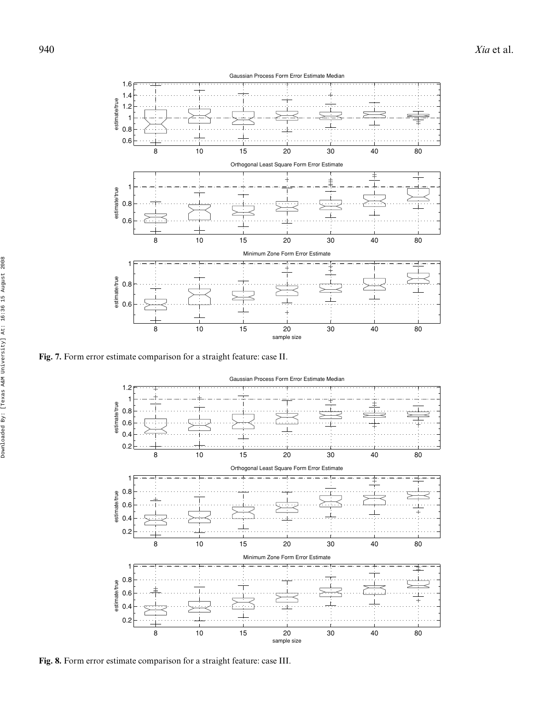

**Fig. 7.** Form error estimate comparison for a straight feature: case II.



**Fig. 8.** Form error estimate comparison for a straight feature: case III.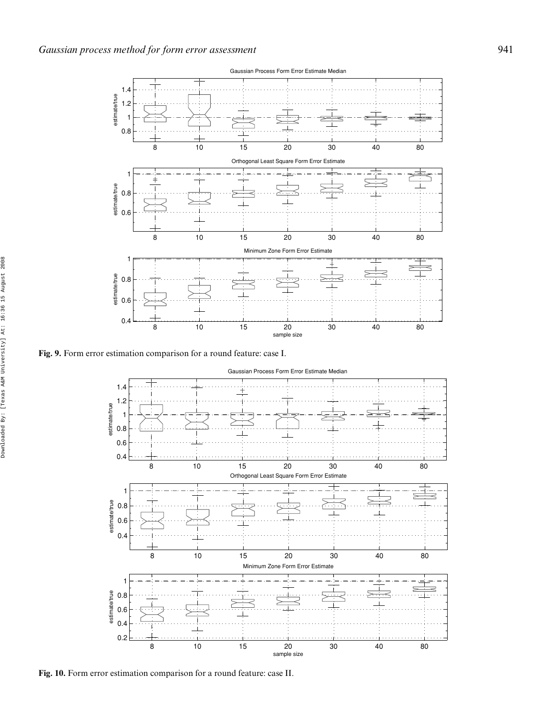

**Fig. 9.** Form error estimation comparison for a round feature: case I.



**Fig. 10.** Form error estimation comparison for a round feature: case II.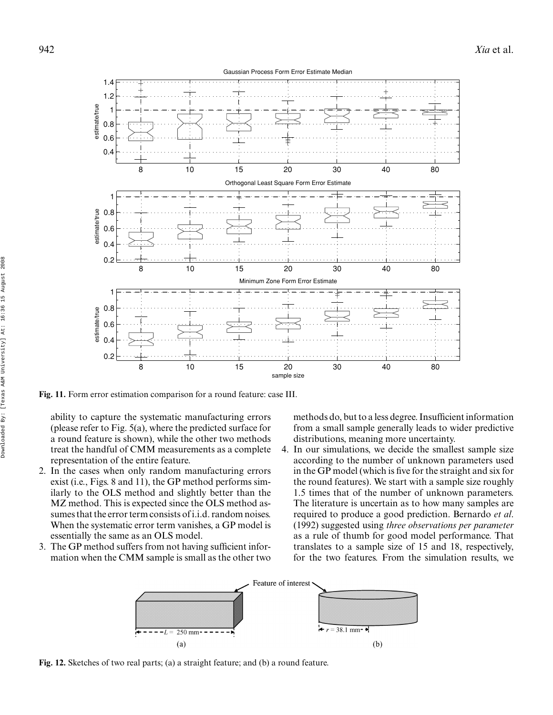

**Fig. 11.** Form error estimation comparison for a round feature: case III.

ability to capture the systematic manufacturing errors (please refer to Fig. 5(a), where the predicted surface for a round feature is shown), while the other two methods treat the handful of CMM measurements as a complete representation of the entire feature.

- 2. In the cases when only random manufacturing errors exist (i.e., Figs. 8 and 11), the GP method performs similarly to the OLS method and slightly better than the MZ method. This is expected since the OLS method assumes that the error term consists of i.i.d. random noises. When the systematic error term vanishes, a GP model is essentially the same as an OLS model.
- 3. The GP method suffers from not having sufficient information when the CMM sample is small as the other two

methods do, but to a less degree. Insufficient information from a small sample generally leads to wider predictive distributions, meaning more uncertainty.

4. In our simulations, we decide the smallest sample size according to the number of unknown parameters used in the GP model (which is five for the straight and six for the round features). We start with a sample size roughly 1.5 times that of the number of unknown parameters. The literature is uncertain as to how many samples are required to produce a good prediction. Bernardo *et al*. (1992) suggested using *three observations per parameter* as a rule of thumb for good model performance. That translates to a sample size of 15 and 18, respectively, for the two features. From the simulation results, we



**Fig. 12.** Sketches of two real parts; (a) a straight feature; and (b) a round feature.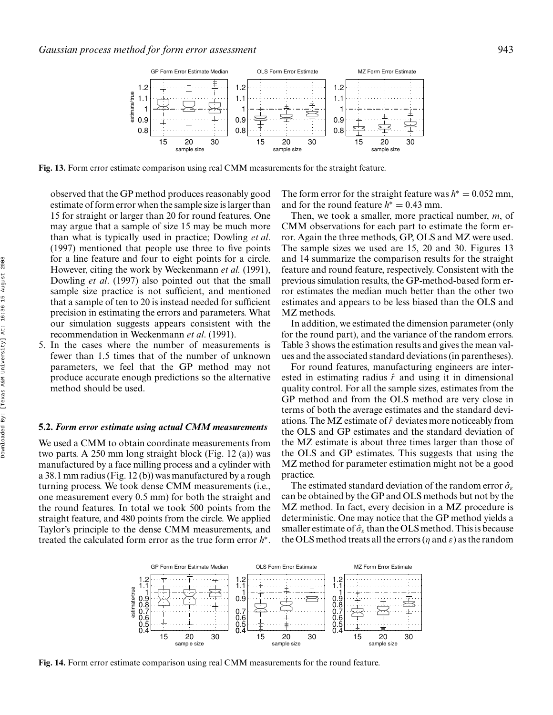

**Fig. 13.** Form error estimate comparison using real CMM measurements for the straight feature.

observed that the GP method produces reasonably good estimate of form error when the sample size is larger than 15 for straight or larger than 20 for round features. One may argue that a sample of size 15 may be much more than what is typically used in practice; Dowling *et al*. (1997) mentioned that people use three to five points for a line feature and four to eight points for a circle. However, citing the work by Weckenmann *et al.* (1991), Dowling *et al*. (1997) also pointed out that the small sample size practice is not sufficient, and mentioned that a sample of ten to 20 is instead needed for sufficient precision in estimating the errors and parameters. What our simulation suggests appears consistent with the recommendation in Weckenmann *et al*. (1991).

5. In the cases where the number of measurements is fewer than 1.5 times that of the number of unknown parameters, we feel that the GP method may not produce accurate enough predictions so the alternative method should be used.

# **5.2.** *Form error estimate using actual CMM measurements*

We used a CMM to obtain coordinate measurements from two parts. A 250 mm long straight block (Fig. 12 (a)) was manufactured by a face milling process and a cylinder with a 38.1 mm radius (Fig. 12 (b)) was manufactured by a rough turning process. We took dense CMM measurements (i.e., one measurement every 0.5 mm) for both the straight and the round features. In total we took 500 points from the straight feature, and 480 points from the circle. We applied Taylor's principle to the dense CMM measurements, and treated the calculated form error as the true form error *h*<sup>∗</sup>.

The form error for the straight feature was  $h^* = 0.052$  mm, and for the round feature  $h^* = 0.43$  mm.

Then, we took a smaller, more practical number, *m*, of CMM observations for each part to estimate the form error. Again the three methods, GP, OLS and MZ were used. The sample sizes we used are 15, 20 and 30. Figures 13 and 14 summarize the comparison results for the straight feature and round feature, respectively. Consistent with the previous simulation results, the GP-method-based form error estimates the median much better than the other two estimates and appears to be less biased than the OLS and MZ methods.

In addition, we estimated the dimension parameter (only for the round part), and the variance of the random errors. Table 3 shows the estimation results and gives the mean values and the associated standard deviations (in parentheses).

For round features, manufacturing engineers are interested in estimating radius  $\hat{r}$  and using it in dimensional quality control. For all the sample sizes, estimates from the GP method and from the OLS method are very close in terms of both the average estimates and the standard deviations. The MZ estimate of ˆ*r* deviates more noticeably from the OLS and GP estimates and the standard deviation of the MZ estimate is about three times larger than those of the OLS and GP estimates. This suggests that using the MZ method for parameter estimation might not be a good practice.

The estimated standard deviation of the random error  $\hat{\sigma}_{\varepsilon}$ can be obtained by the GP and OLS methods but not by the MZ method. In fact, every decision in a MZ procedure is deterministic. One may notice that the GP method yields a smaller estimate of  $\hat{\sigma}_{\varepsilon}$  than the OLS method. This is because the OLS method treats all the errors ( $\eta$  and  $\varepsilon$ ) as the random



**Fig. 14.** Form error estimate comparison using real CMM measurements for the round feature.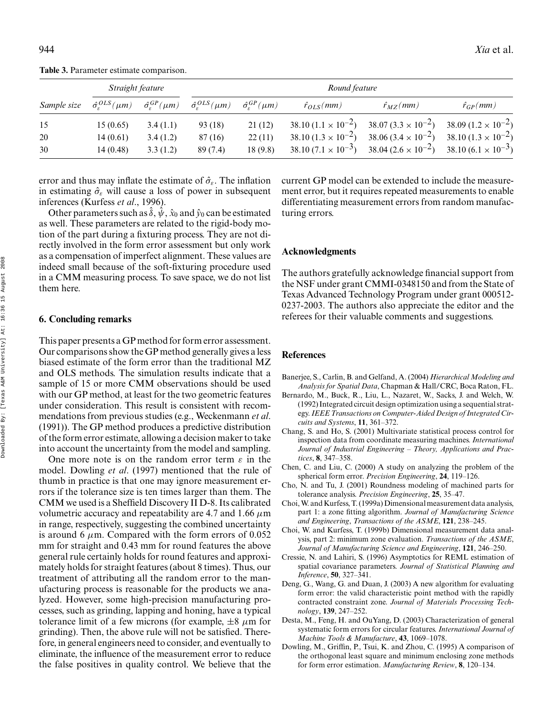**Table 3.** Parameter estimate comparison.

|             | Straight feature                    |                                | Round feature                       |                                    |                              |                              |                              |  |  |
|-------------|-------------------------------------|--------------------------------|-------------------------------------|------------------------------------|------------------------------|------------------------------|------------------------------|--|--|
| Sample size | $\hat{\sigma}_{\rm s}^{OLS}(\mu m)$ | $\hat{\sigma}_{s}^{GP}(\mu m)$ | $\hat{\sigma}_{\rm s}^{OLS}(\mu m)$ | $\hat{\sigma}_{\rm s}^{GP}(\mu m)$ | $\hat{r}_{OLS}(mm)$          | $\hat{r}_{MZ}(mm)$           | $\hat{r}_{GP}(mm)$           |  |  |
| 15          | 15(0.65)                            | 3.4(1.1)                       | 93 (18)                             | 21(12)                             | $38.10 (1.1 \times 10^{-2})$ | $38.07(3.3 \times 10^{-2})$  | 38.09 $(1.2 \times 10^{-2})$ |  |  |
| 20          | 14(0.61)                            | 3.4(1.2)                       | 87(16)                              | 22(11)                             | $38.10 (1.3 \times 10^{-2})$ | $38.06 (3.4 \times 10^{-2})$ | 38.10 $(1.3 \times 10^{-2})$ |  |  |
| 30          | 14(0.48)                            | 3.3(1.2)                       | 89 (7.4)                            | 18(9.8)                            | $38.10 (7.1 \times 10^{-3})$ | $38.04(2.6\times10^{-2})$    | 38.10 $(6.1 \times 10^{-3})$ |  |  |

error and thus may inflate the estimate of  $\hat{\sigma}_{\varepsilon}$ . The inflation in estimating  $\hat{\sigma}_{\varepsilon}$  will cause a loss of power in subsequent inferences (Kurfess *et al*., 1996).

Other parameters such as  $\hat{\delta}$ ,  $\hat{\psi}$ ,  $\hat{x}_0$  and  $\hat{y}_0$  can be estimated as well. These parameters are related to the rigid-body motion of the part during a fixturing process. They are not directly involved in the form error assessment but only work as a compensation of imperfect alignment. These values are indeed small because of the soft-fixturing procedure used in a CMM measuring process. To save space, we do not list them here.

# **6. Concluding remarks**

This paper presents a GP method for form error assessment. Our comparisons show the GP method generally gives a less biased estimate of the form error than the traditional MZ and OLS methods. The simulation results indicate that a sample of 15 or more CMM observations should be used with our GP method, at least for the two geometric features under consideration. This result is consistent with recommendations from previous studies (e.g., Weckenmann *et al*. (1991)). The GP method produces a predictive distribution of the form error estimate, allowing a decision maker to take into account the uncertainty from the model and sampling.

One more note is on the random error term  $\varepsilon$  in the model. Dowling *et al*. (1997) mentioned that the rule of thumb in practice is that one may ignore measurement errors if the tolerance size is ten times larger than them. The CMM we used is a Sheffield Discovery II D-8. Its calibrated volumetric accuracy and repeatability are 4.7 and 1.66  $\mu$ m in range, respectively, suggesting the combined uncertainty is around 6  $\mu$ m. Compared with the form errors of 0.052 mm for straight and 0.43 mm for round features the above general rule certainly holds for round features and approximately holds for straight features (about 8 times). Thus, our treatment of attributing all the random error to the manufacturing process is reasonable for the products we analyzed. However, some high-precision manufacturing processes, such as grinding, lapping and honing, have a typical tolerance limit of a few microns (for example,  $\pm 8 \mu$ m for grinding). Then, the above rule will not be satisfied. Therefore, in general engineers need to consider, and eventually to eliminate, the influence of the measurement error to reduce the false positives in quality control. We believe that the

current GP model can be extended to include the measurement error, but it requires repeated measurements to enable differentiating measurement errors from random manufacturing errors.

# **Acknowledgments**

The authors gratefully acknowledge financial support from the NSF under grant CMMI-0348150 and from the State of Texas Advanced Technology Program under grant 000512- 0237-2003. The authors also appreciate the editor and the referees for their valuable comments and suggestions.

#### **References**

- Banerjee, S., Carlin, B. and Gelfand, A. (2004) *Hierarchical Modeling and Analysis for Spatial Data*, Chapman & Hall/CRC, Boca Raton, FL.
- Bernardo, M., Buck, R., Liu, L., Nazaret, W., Sacks, J. and Welch, W. (1992) Integrated circuit design optimization using a sequential strategy.*IEEE Transactions on Computer-Aided Design of Integrated Circuits and Systems*, **11**, 361–372.
- Chang, S. and Ho, S. (2001) Multivariate statistical process control for inspection data from coordinate measuring machines. *International Journal of Industrial Engineering – Theory, Applications and Practices*, **8**, 347–358.
- Chen, C. and Liu, C. (2000) A study on analyzing the problem of the spherical form error. *Precision Engineering*, **24**, 119–126.
- Cho, N. and Tu, J. (2001) Roundness modeling of machined parts for tolerance analysis. *Precision Engineering*, **25**, 35–47.
- Choi, W. and Kurfess, T. (1999a) Dimensional measurement data analysis, part 1: a zone fitting algorithm. *Journal of Manufacturing Science and Engineering*, *Transactions of the ASME*, **121**, 238–245.
- Choi, W. and Kurfess, T. (1999b) Dimensional measurement data analysis, part 2: minimum zone evaluation. *Transactions of the ASME*, *Journal of Manufacturing Science and Engineering*, **121**, 246–250.
- Cressie, N. and Lahiri, S. (1996) Asymptotics for REML estimation of spatial covariance parameters. *Journal of Statistical Planning and Inference*, **50**, 327–341.
- Deng, G., Wang, G. and Duan, J. (2003) A new algorithm for evaluating form error: the valid characteristic point method with the rapidly contracted constraint zone. *Journal of Materials Processing Technology*, **139**, 247–252.
- Desta, M., Feng, H. and OuYang, D. (2003) Characterization of general systematic form errors for circular features. *International Journal of Machine Tools & Manufacture*, **43**, 1069–1078.
- Dowling, M., Griffin, P., Tsui, K. and Zhou, C. (1995) A comparison of the orthogonal least square and minimum enclosing zone methods for form error estimation. *Manufacturing Review*, **8**, 120–134.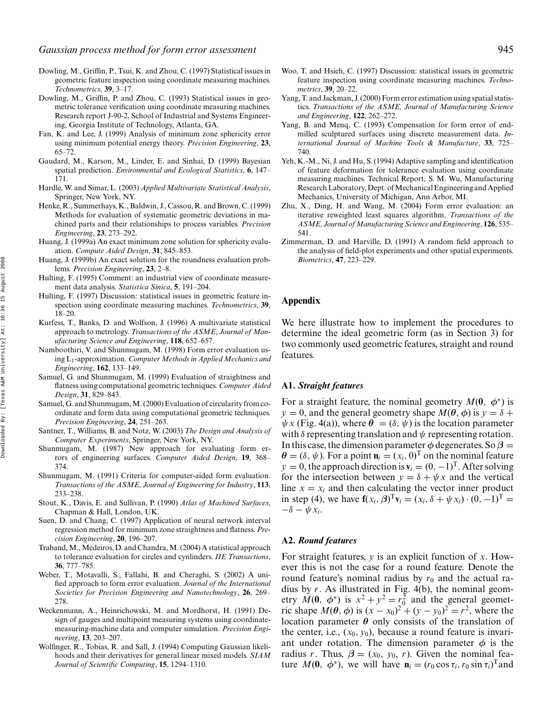- Dowling, M., Griffin, P., Tsui, K. and Zhou, C. (1997) Statistical issues in geometric feature inspection using coordinate measuring machines. *Technometrics*, **39**, 3–17.
- Dowling, M., Griffin, P. and Zhou, C. (1993) Statistical issues in geometric tolerance verification using coordinate measuring machines. Research report J-90-2, School of Industrial and Systems Engineering, Georgia Institute of Technology, Atlanta, GA.
- Fan, K. and Lee, J. (1999) Analysis of minimum zone sphericity error using minimum potential energy theory. *Precision Engineering*, **23**, 65–72.
- Gaudard, M., Karson, M., Linder, E. and Sinhai, D. (1999) Bayesian spatial prediction. *Environmental and Ecological Statistics*, **6**, 147– 171.
- Hardle, W. and Simar, L. (2003) *Applied Multivariate Statistical Analysis*, Springer, New York, NY.
- Henke, R., Summerhays, K., Baldwin, J., Cassou, R. and Brown, C. (1999) Methods for evaluation of systematic geometric deviations in machined parts and their relationships to process variables. *Precision Engineering*, **23**, 273–292.
- Huang, J. (1999a) An exact minimum zone solution for sphericity evaluation. *Compute Aided Design*, **31**, 845–853.
- Huang, J. (1999b) An exact solution for the roundness evaluation problems. *Precision Engineering*, **23**, 2–8.
- Hulting, F. (1995) Comment: an industrial view of coordinate measurement data analysis. *Statistica Sinica*, **5**, 191–204.
- Hulting, F. (1997) Discussion: statistical issues in geometric feature inspection using coordinate measuring machines. *Technometrics*, **39**, 18–20.
- Kurfess, T., Banks, D. and Wolfson, J. (1996) A multivariate statistical approach to metrology. *Transactions of the ASME*, *Journal of Manufacturing Science and Engineering*, **118**, 652–657.
- Namboothiri, V. and Shunmugam, M. (1998) Form error evaluation using L1-approximation. *Computer Methods in Applied Mechanics and Engineering*, **162**, 133–149.
- Samuel, G. and Shunmugam, M. (1999) Evaluation of straightness and flatness using computational geometric techniques. *Computer Aided Design*, **31**, 829–843.
- Samuel, G. and Shunmugam, M. (2000) Evaluation of circularity from coordinate and form data using computational geometric techniques. *Precision Engineering*, **24**, 251–263.
- Santner, T., Williams, B. and Notz, W. (2003) *The Design and Analysis of Computer Experiments*, Springer, New York, NY.
- Shunmugam, M. (1987) New approach for evaluating form errors of engineering surfaces. *Computer Aided Design*, **19**, 368– 374.
- Shunmugam, M. (1991) Criteria for computer-aided form evaluation. *Transactions of the ASME, Journal of Engineering for Industry*, **113**, 233–238.
- Stout, K., Davis, E. and Sullivan, P. (1990) *Atlas of Machined Surfaces*, Chapman & Hall, London, UK.
- Suen, D. and Chang, C. (1997) Application of neural network interval regression method for minimum zone straightness and flatness. *Precision Engineering*, **20**, 196–207.
- Traband, M., Medeiros, D. and Chandra, M. (2004) A statistical approach to tolerance evaluation for circles and cynlinders. *IIE Transactions*, **36**, 777–785.
- Weber, T., Motavalli, S., Fallahi, B. and Cheraghi, S. (2002) A unified approach to form error evaluation. *Journal of the International Societies for Precision Engineering and Nanotechnology*, **26**, 269– 278.
- Weckenmann, A., Heinrichowski, M. and Mordhorst, H. (1991) Design of gauges and multipoint measuring systems using coordinatemeasuring-machine data and computer simulation. *Precision Engineering*, **13**, 203–207.
- Wolfinger, R., Tobias, R. and Sall, J. (1994) Computing Gaussian likelihoods and their derivatives for general linear mixed models. *SIAM Journal of Scientific Computing*, **15**, 1294–1310.
- Woo, T. and Hsieh, C. (1997) Discussion: statistical issues in geometric feature inspection using coordinate measuring machines. *Technometrics*, **39**, 20–22.
- Yang, T. and Jackman, J. (2000) Form error estimation using spatial statistics. *Transactions of the ASME, Journal of Manufacturing Science and Engineering*, **122**, 262–272.
- Yang, B. and Menq, C. (1993) Compensation for form error of endmilled sculptured surfaces using discrete measurement data. *International Journal of Machine Tools & Manufacture*, **33**, 725– 740.
- Yeh, K.-M., Ni, J. and Hu, S. (1994) Adaptive sampling and identification of feature deformation for tolerance evaluation using coordinate measuring machines. Technical Report, S. M. Wu, Manufacturing Research Laboratory, Dept. of Mechanical Engineering and Applied Mechanics, University of Michigan, Ann Arbor, MI.
- Zhu, X., Ding, H. and Wang, M. (2004) Form error evaluation: an iterative reweighted least squares algorithm. *Transactions of the ASME, Journal of Manufacturing Science and Engineering*, **126**, 535– 541.
- Zimmerman, D. and Harville, D. (1991) A random field approach to the analysis of field-plot experiments and other spatial experiments. *Biometrics*, **47**, 223–229.

# **Appendix**

We here illustrate how to implement the procedures to determine the ideal geometric form (as in Section 3) for two commonly used geometric features, straight and round features.

#### **A1.** *Straight features*

For a straight feature, the nominal geometry  $M(\mathbf{0}, \phi^*)$  is *y* = 0, and the general geometry shape  $M(\theta, \phi)$  is  $y = \delta +$  $\psi$ *x* (Fig. 4(a)), where  $\theta = (\delta, \psi)$  is the location parameter with  $\delta$  representing translation and  $\psi$  representing rotation. In this case, the dimension parameter  $\phi$  degenerates. So  $\beta$  =  $\theta = (\delta, \psi)$ . For a point  $\mathbf{n}_i = (x_i, 0)$ <sup>T</sup> on the nominal feature  $y = 0$ , the approach direction is  $\mathbf{v}_i = (0, -1)^T$ . After solving for the intersection between  $y = \delta + \psi x$  and the vertical line  $x = x_i$  and then calculating the vector inner product in step (4), we have  $f(x_i, \beta)^T v_i = (x_i, \delta + \psi x_i) \cdot (0, -1)^T =$  $-\delta - \psi x_i$ .

#### **A2.** *Round features*

For straight features, *y* is an explicit function of *x*. However this is not the case for a round feature. Denote the round feature's nominal radius by  $r_0$  and the actual radius by *r*. As illustrated in Fig. 4(b), the nominal geometry  $M(0, \phi^*)$  is  $x^2 + y^2 = r_0^2$  and the general geometric shape *M*(*θ*, *ϕ*) is  $(x - x_0)^2 + (y - y_0)^2 = r^2$ , where the location parameter *θ* only consists of the translation of the center, i.e.,  $(x_0, y_0)$ , because a round feature is invariant under rotation. The dimension parameter  $\phi$  is the radius *r*. Thus,  $\beta = (x_0, y_0, r)$ . Given the nominal feature  $M(\mathbf{0}, \phi^*)$ , we will have  $\mathbf{n}_i = (r_0 \cos \tau_i, r_0 \sin \tau_i)^T$  and